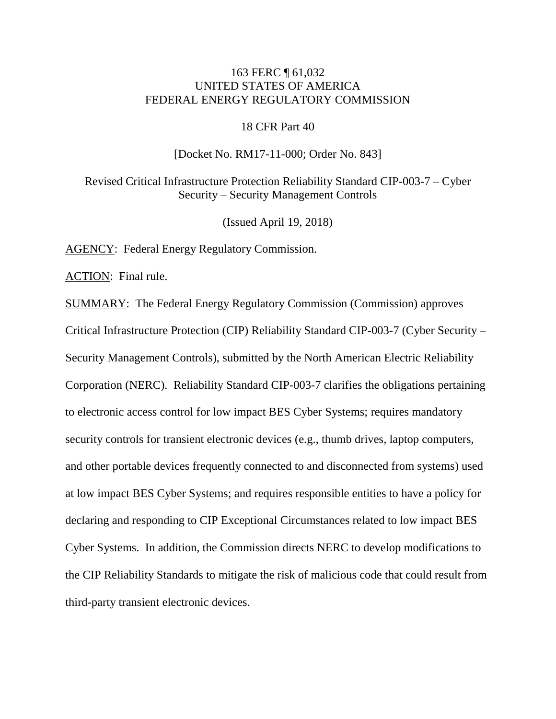# 163 FERC ¶ 61,032 UNITED STATES OF AMERICA FEDERAL ENERGY REGULATORY COMMISSION

### 18 CFR Part 40

#### [Docket No. RM17-11-000; Order No. 843]

Revised Critical Infrastructure Protection Reliability Standard CIP-003-7 – Cyber Security – Security Management Controls

(Issued April 19, 2018)

AGENCY: Federal Energy Regulatory Commission.

ACTION: Final rule.

SUMMARY: The Federal Energy Regulatory Commission (Commission) approves Critical Infrastructure Protection (CIP) Reliability Standard CIP-003-7 (Cyber Security – Security Management Controls), submitted by the North American Electric Reliability Corporation (NERC). Reliability Standard CIP-003-7 clarifies the obligations pertaining to electronic access control for low impact BES Cyber Systems; requires mandatory security controls for transient electronic devices (e.g., thumb drives, laptop computers, and other portable devices frequently connected to and disconnected from systems) used at low impact BES Cyber Systems; and requires responsible entities to have a policy for declaring and responding to CIP Exceptional Circumstances related to low impact BES Cyber Systems. In addition, the Commission directs NERC to develop modifications to the CIP Reliability Standards to mitigate the risk of malicious code that could result from third-party transient electronic devices.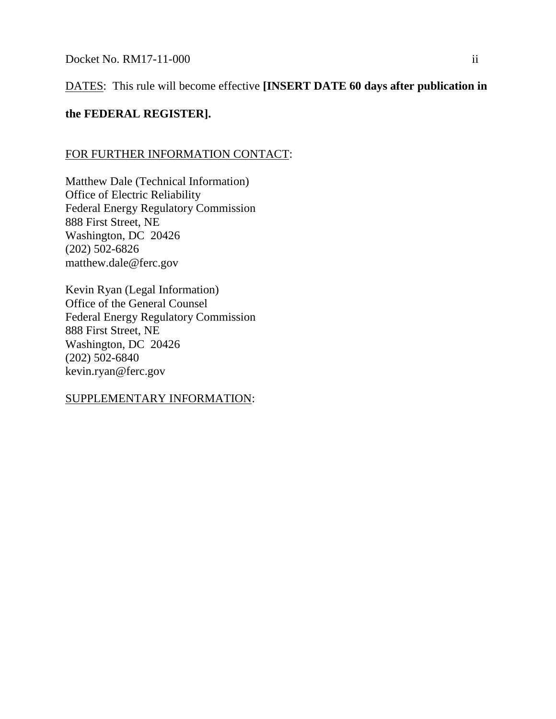# DATES: This rule will become effective **[INSERT DATE 60 days after publication in**

# **the FEDERAL REGISTER].**

# FOR FURTHER INFORMATION CONTACT:

Matthew Dale (Technical Information) Office of Electric Reliability Federal Energy Regulatory Commission 888 First Street, NE Washington, DC 20426 (202) 502-6826 matthew.dale@ferc.gov

Kevin Ryan (Legal Information) Office of the General Counsel Federal Energy Regulatory Commission 888 First Street, NE Washington, DC 20426 (202) 502-6840 kevin.ryan@ferc.gov

SUPPLEMENTARY INFORMATION: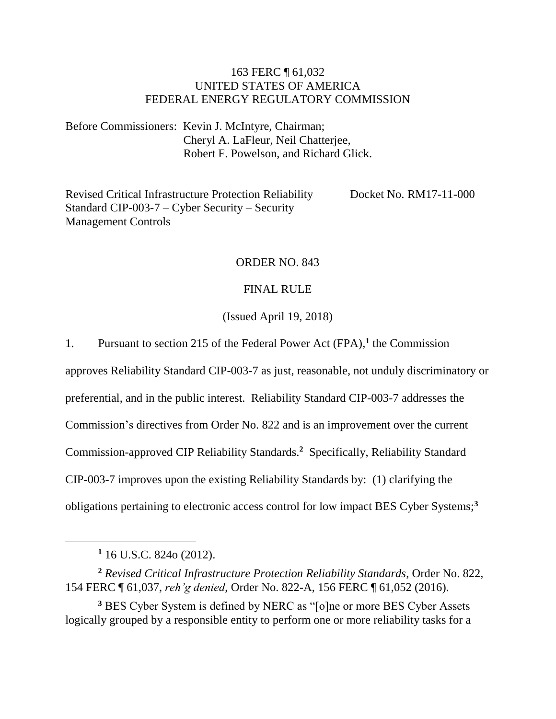# 163 FERC ¶ 61,032 UNITED STATES OF AMERICA FEDERAL ENERGY REGULATORY COMMISSION

Before Commissioners: Kevin J. McIntyre, Chairman; Cheryl A. LaFleur, Neil Chatterjee, Robert F. Powelson, and Richard Glick.

Revised Critical Infrastructure Protection Reliability Standard CIP-003-7 – Cyber Security – Security Management Controls Docket No. RM17-11-000

## ORDER NO. 843

## FINAL RULE

## (Issued April 19, 2018)

1. Pursuant to section 215 of the Federal Power Act (FPA),**<sup>1</sup>** the Commission

approves Reliability Standard CIP-003-7 as just, reasonable, not unduly discriminatory or

preferential, and in the public interest. Reliability Standard CIP-003-7 addresses the

Commission's directives from Order No. 822 and is an improvement over the current

Commission-approved CIP Reliability Standards.<sup>2</sup> Specifically, Reliability Standard

CIP-003-7 improves upon the existing Reliability Standards by: (1) clarifying the

obligations pertaining to electronic access control for low impact BES Cyber Systems;**<sup>3</sup>**

**<sup>1</sup>** 16 U.S.C. 824o (2012).

**<sup>2</sup>** *Revised Critical Infrastructure Protection Reliability Standards*, Order No. 822, 154 FERC ¶ 61,037, *reh'g denied*, Order No. 822-A, 156 FERC ¶ 61,052 (2016).

**<sup>3</sup>** BES Cyber System is defined by NERC as "[o]ne or more BES Cyber Assets logically grouped by a responsible entity to perform one or more reliability tasks for a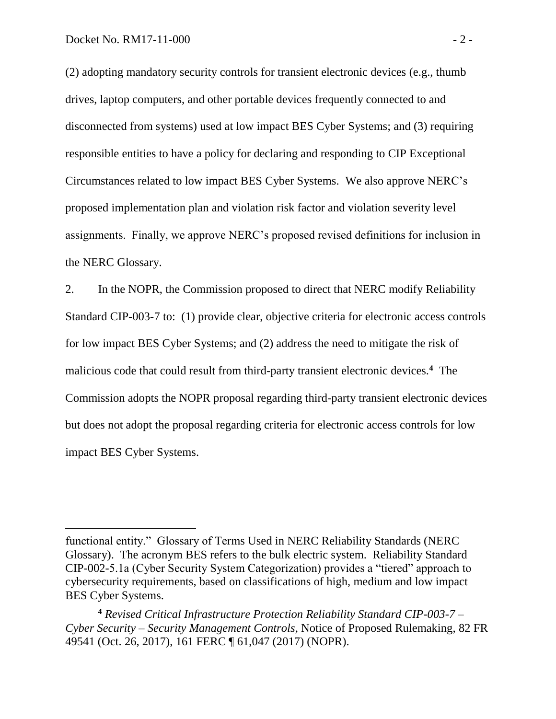$\overline{a}$ 

(2) adopting mandatory security controls for transient electronic devices (e.g., thumb drives, laptop computers, and other portable devices frequently connected to and disconnected from systems) used at low impact BES Cyber Systems; and (3) requiring responsible entities to have a policy for declaring and responding to CIP Exceptional Circumstances related to low impact BES Cyber Systems. We also approve NERC's proposed implementation plan and violation risk factor and violation severity level assignments. Finally, we approve NERC's proposed revised definitions for inclusion in the NERC Glossary.

2. In the NOPR, the Commission proposed to direct that NERC modify Reliability Standard CIP-003-7 to: (1) provide clear, objective criteria for electronic access controls for low impact BES Cyber Systems; and (2) address the need to mitigate the risk of malicious code that could result from third-party transient electronic devices.**<sup>4</sup>** The Commission adopts the NOPR proposal regarding third-party transient electronic devices but does not adopt the proposal regarding criteria for electronic access controls for low impact BES Cyber Systems.

functional entity." Glossary of Terms Used in NERC Reliability Standards (NERC Glossary). The acronym BES refers to the bulk electric system. Reliability Standard CIP-002-5.1a (Cyber Security System Categorization) provides a "tiered" approach to cybersecurity requirements, based on classifications of high, medium and low impact BES Cyber Systems.

**<sup>4</sup>** *Revised Critical Infrastructure Protection Reliability Standard CIP-003-7 – Cyber Security – Security Management Controls*, Notice of Proposed Rulemaking, 82 FR 49541 (Oct. 26, 2017), 161 FERC ¶ 61,047 (2017) (NOPR).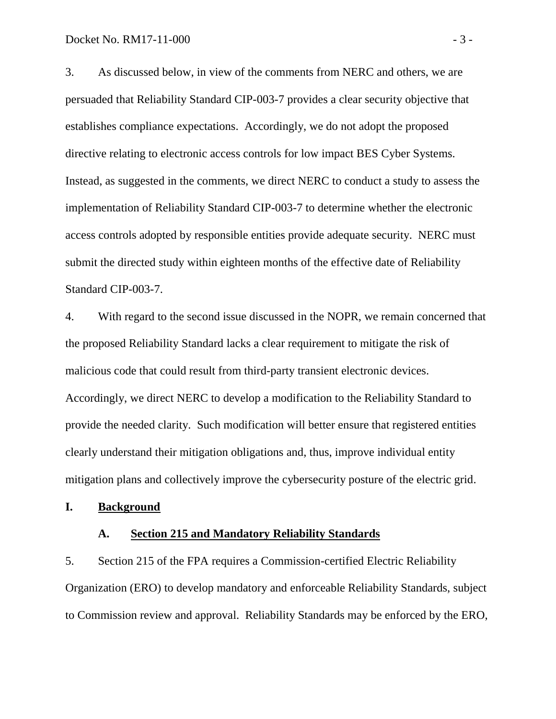3. As discussed below, in view of the comments from NERC and others, we are persuaded that Reliability Standard CIP-003-7 provides a clear security objective that establishes compliance expectations. Accordingly, we do not adopt the proposed directive relating to electronic access controls for low impact BES Cyber Systems. Instead, as suggested in the comments, we direct NERC to conduct a study to assess the implementation of Reliability Standard CIP-003-7 to determine whether the electronic access controls adopted by responsible entities provide adequate security. NERC must submit the directed study within eighteen months of the effective date of Reliability Standard CIP-003-7.

4. With regard to the second issue discussed in the NOPR, we remain concerned that the proposed Reliability Standard lacks a clear requirement to mitigate the risk of malicious code that could result from third-party transient electronic devices. Accordingly, we direct NERC to develop a modification to the Reliability Standard to provide the needed clarity. Such modification will better ensure that registered entities clearly understand their mitigation obligations and, thus, improve individual entity mitigation plans and collectively improve the cybersecurity posture of the electric grid.

### **I. Background**

### **A. Section 215 and Mandatory Reliability Standards**

5. Section 215 of the FPA requires a Commission-certified Electric Reliability Organization (ERO) to develop mandatory and enforceable Reliability Standards, subject to Commission review and approval. Reliability Standards may be enforced by the ERO,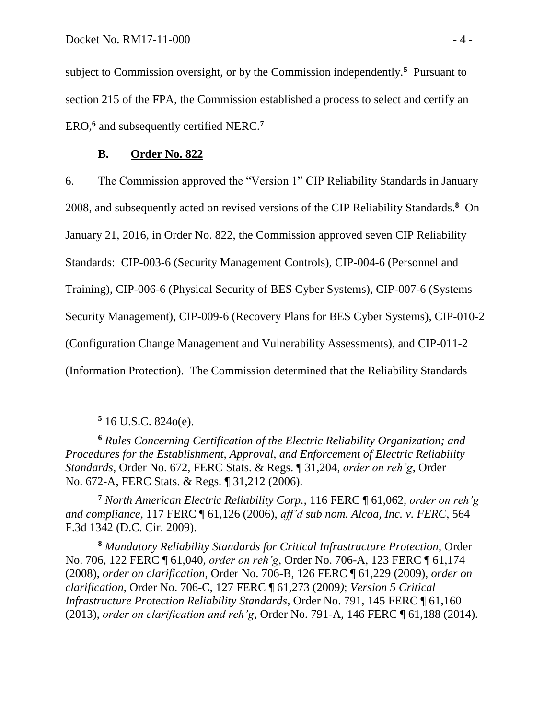subject to Commission oversight, or by the Commission independently.**<sup>5</sup>** Pursuant to section 215 of the FPA, the Commission established a process to select and certify an ERO,**<sup>6</sup>** and subsequently certified NERC.**<sup>7</sup>**

## **B. Order No. 822**

6. The Commission approved the "Version 1" CIP Reliability Standards in January 2008, and subsequently acted on revised versions of the CIP Reliability Standards.**<sup>8</sup>** On January 21, 2016, in Order No. 822, the Commission approved seven CIP Reliability Standards: CIP-003-6 (Security Management Controls), CIP-004-6 (Personnel and Training), CIP-006-6 (Physical Security of BES Cyber Systems), CIP-007-6 (Systems Security Management), CIP-009-6 (Recovery Plans for BES Cyber Systems), CIP-010-2 (Configuration Change Management and Vulnerability Assessments), and CIP-011-2 (Information Protection). The Commission determined that the Reliability Standards

 $\overline{a}$ 

**<sup>6</sup>** *Rules Concerning Certification of the Electric Reliability Organization; and Procedures for the Establishment, Approval, and Enforcement of Electric Reliability Standards*, Order No. 672, FERC Stats. & Regs. ¶ 31,204, *order on reh'g*, Order No. 672-A, FERC Stats. & Regs. ¶ 31,212 (2006).

**<sup>7</sup>** *North American Electric Reliability Corp.*, 116 FERC ¶ 61,062, *order on reh'g and compliance*, 117 FERC ¶ 61,126 (2006), *aff'd sub nom. Alcoa, Inc. v. FERC*, 564 F.3d 1342 (D.C. Cir. 2009).

**<sup>8</sup>** *Mandatory Reliability Standards for Critical Infrastructure Protection*, Order No. 706, 122 FERC ¶ 61,040, *order on reh'g*, Order No. 706-A, 123 FERC ¶ 61,174 (2008), *order on clarification*, Order No. 706-B, 126 FERC ¶ 61,229 (2009), *order on clarification*, Order No. 706-C, 127 FERC ¶ 61,273 (2009*)*; *Version 5 Critical Infrastructure Protection Reliability Standards*, Order No. 791, 145 FERC ¶ 61,160 (2013), *order on clarification and reh'g*, Order No. 791-A, 146 FERC ¶ 61,188 (2014).

**<sup>5</sup>** 16 U.S.C. 824o(e).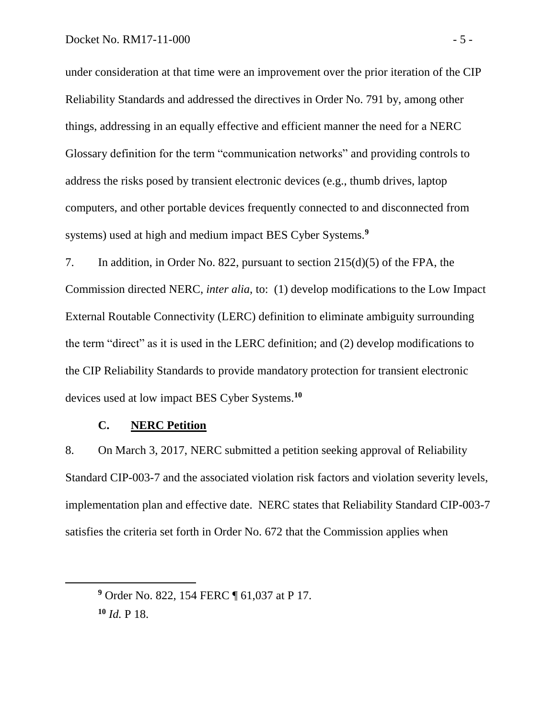under consideration at that time were an improvement over the prior iteration of the CIP Reliability Standards and addressed the directives in Order No. 791 by, among other things, addressing in an equally effective and efficient manner the need for a NERC Glossary definition for the term "communication networks" and providing controls to address the risks posed by transient electronic devices (e.g., thumb drives, laptop computers, and other portable devices frequently connected to and disconnected from systems) used at high and medium impact BES Cyber Systems.**<sup>9</sup>**

7. In addition, in Order No. 822, pursuant to section 215(d)(5) of the FPA, the Commission directed NERC, *inter alia*, to: (1) develop modifications to the Low Impact External Routable Connectivity (LERC) definition to eliminate ambiguity surrounding the term "direct" as it is used in the LERC definition; and (2) develop modifications to the CIP Reliability Standards to provide mandatory protection for transient electronic devices used at low impact BES Cyber Systems.**<sup>10</sup>**

# **C. NERC Petition**

8. On March 3, 2017, NERC submitted a petition seeking approval of Reliability Standard CIP-003-7 and the associated violation risk factors and violation severity levels, implementation plan and effective date. NERC states that Reliability Standard CIP-003-7 satisfies the criteria set forth in Order No. 672 that the Commission applies when

**<sup>9</sup>** Order No. 822, 154 FERC ¶ 61,037 at P 17.

**<sup>10</sup>** *Id.* P 18.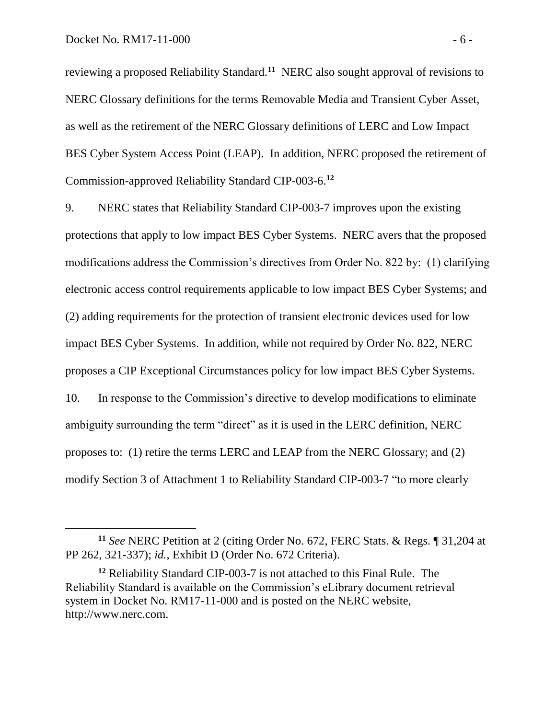$\overline{a}$ 

reviewing a proposed Reliability Standard.**<sup>11</sup>** NERC also sought approval of revisions to NERC Glossary definitions for the terms Removable Media and Transient Cyber Asset, as well as the retirement of the NERC Glossary definitions of LERC and Low Impact BES Cyber System Access Point (LEAP). In addition, NERC proposed the retirement of Commission-approved Reliability Standard CIP-003-6. **12**

9. NERC states that Reliability Standard CIP-003-7 improves upon the existing protections that apply to low impact BES Cyber Systems. NERC avers that the proposed modifications address the Commission's directives from Order No. 822 by: (1) clarifying electronic access control requirements applicable to low impact BES Cyber Systems; and (2) adding requirements for the protection of transient electronic devices used for low impact BES Cyber Systems. In addition, while not required by Order No. 822, NERC proposes a CIP Exceptional Circumstances policy for low impact BES Cyber Systems. 10. In response to the Commission's directive to develop modifications to eliminate ambiguity surrounding the term "direct" as it is used in the LERC definition, NERC proposes to: (1) retire the terms LERC and LEAP from the NERC Glossary; and (2) modify Section 3 of Attachment 1 to Reliability Standard CIP-003-7 "to more clearly

**<sup>11</sup>** *See* NERC Petition at 2 (citing Order No. 672, FERC Stats. & Regs. ¶ 31,204 at PP 262, 321-337); *id.*, Exhibit D (Order No. 672 Criteria).

**<sup>12</sup>** Reliability Standard CIP-003-7 is not attached to this Final Rule. The Reliability Standard is available on the Commission's eLibrary document retrieval system in Docket No. RM17-11-000 and is posted on the NERC website, http://www.nerc.com.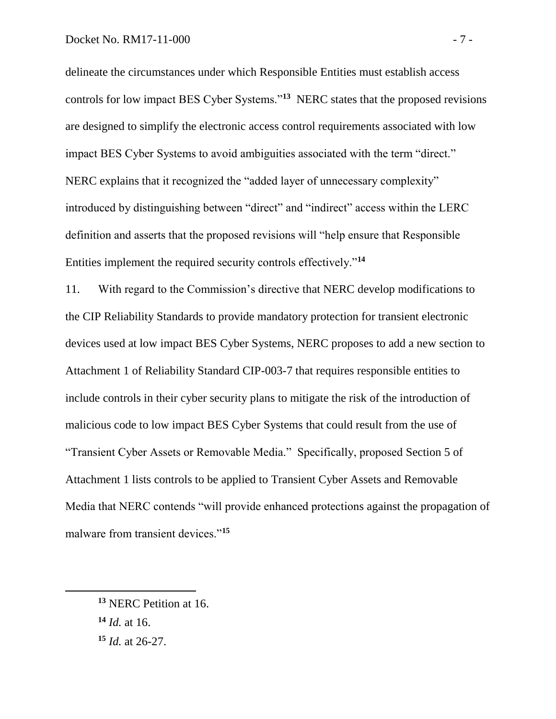delineate the circumstances under which Responsible Entities must establish access controls for low impact BES Cyber Systems."**<sup>13</sup>** NERC states that the proposed revisions are designed to simplify the electronic access control requirements associated with low impact BES Cyber Systems to avoid ambiguities associated with the term "direct." NERC explains that it recognized the "added layer of unnecessary complexity" introduced by distinguishing between "direct" and "indirect" access within the LERC definition and asserts that the proposed revisions will "help ensure that Responsible Entities implement the required security controls effectively."**<sup>14</sup>**

11. With regard to the Commission's directive that NERC develop modifications to the CIP Reliability Standards to provide mandatory protection for transient electronic devices used at low impact BES Cyber Systems, NERC proposes to add a new section to Attachment 1 of Reliability Standard CIP-003-7 that requires responsible entities to include controls in their cyber security plans to mitigate the risk of the introduction of malicious code to low impact BES Cyber Systems that could result from the use of "Transient Cyber Assets or Removable Media." Specifically, proposed Section 5 of Attachment 1 lists controls to be applied to Transient Cyber Assets and Removable Media that NERC contends "will provide enhanced protections against the propagation of malware from transient devices."**<sup>15</sup>**

**<sup>13</sup>** NERC Petition at 16. **<sup>14</sup>** *Id.* at 16.

**<sup>15</sup>** *Id.* at 26-27.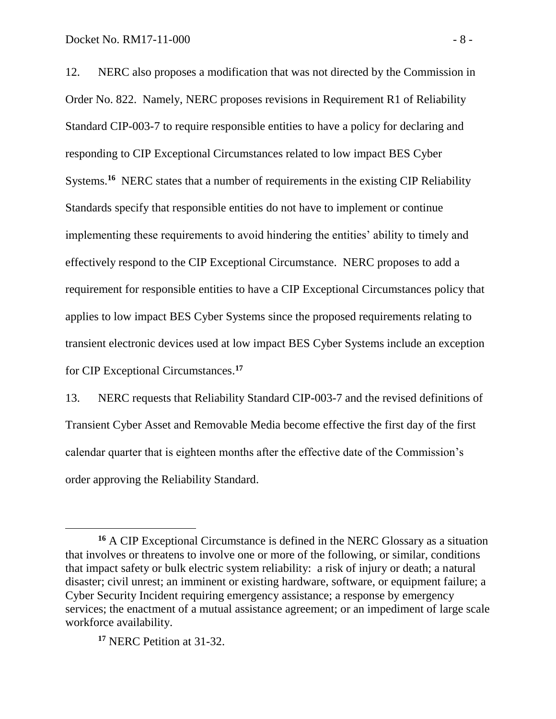12. NERC also proposes a modification that was not directed by the Commission in Order No. 822. Namely, NERC proposes revisions in Requirement R1 of Reliability Standard CIP-003-7 to require responsible entities to have a policy for declaring and responding to CIP Exceptional Circumstances related to low impact BES Cyber Systems.<sup>16</sup> NERC states that a number of requirements in the existing CIP Reliability Standards specify that responsible entities do not have to implement or continue implementing these requirements to avoid hindering the entities' ability to timely and effectively respond to the CIP Exceptional Circumstance. NERC proposes to add a requirement for responsible entities to have a CIP Exceptional Circumstances policy that applies to low impact BES Cyber Systems since the proposed requirements relating to transient electronic devices used at low impact BES Cyber Systems include an exception for CIP Exceptional Circumstances. **17**

13. NERC requests that Reliability Standard CIP-003-7 and the revised definitions of Transient Cyber Asset and Removable Media become effective the first day of the first calendar quarter that is eighteen months after the effective date of the Commission's order approving the Reliability Standard.

**<sup>17</sup>** NERC Petition at 31-32.

 $\overline{a}$ 

**<sup>16</sup>** A CIP Exceptional Circumstance is defined in the NERC Glossary as a situation that involves or threatens to involve one or more of the following, or similar, conditions that impact safety or bulk electric system reliability: a risk of injury or death; a natural disaster; civil unrest; an imminent or existing hardware, software, or equipment failure; a Cyber Security Incident requiring emergency assistance; a response by emergency services; the enactment of a mutual assistance agreement; or an impediment of large scale workforce availability.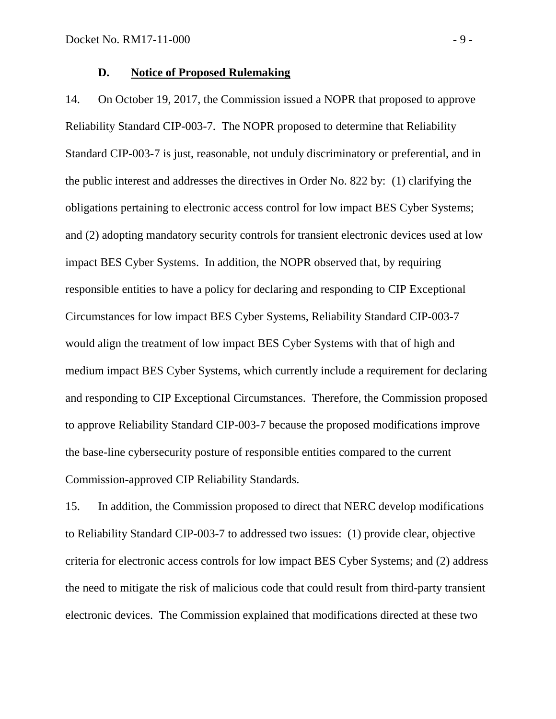#### **D. Notice of Proposed Rulemaking**

14. On October 19, 2017, the Commission issued a NOPR that proposed to approve Reliability Standard CIP-003-7. The NOPR proposed to determine that Reliability Standard CIP-003-7 is just, reasonable, not unduly discriminatory or preferential, and in the public interest and addresses the directives in Order No. 822 by: (1) clarifying the obligations pertaining to electronic access control for low impact BES Cyber Systems; and (2) adopting mandatory security controls for transient electronic devices used at low impact BES Cyber Systems. In addition, the NOPR observed that, by requiring responsible entities to have a policy for declaring and responding to CIP Exceptional Circumstances for low impact BES Cyber Systems, Reliability Standard CIP-003-7 would align the treatment of low impact BES Cyber Systems with that of high and medium impact BES Cyber Systems, which currently include a requirement for declaring and responding to CIP Exceptional Circumstances. Therefore, the Commission proposed to approve Reliability Standard CIP-003-7 because the proposed modifications improve the base-line cybersecurity posture of responsible entities compared to the current Commission-approved CIP Reliability Standards.

15. In addition, the Commission proposed to direct that NERC develop modifications to Reliability Standard CIP-003-7 to addressed two issues: (1) provide clear, objective criteria for electronic access controls for low impact BES Cyber Systems; and (2) address the need to mitigate the risk of malicious code that could result from third-party transient electronic devices. The Commission explained that modifications directed at these two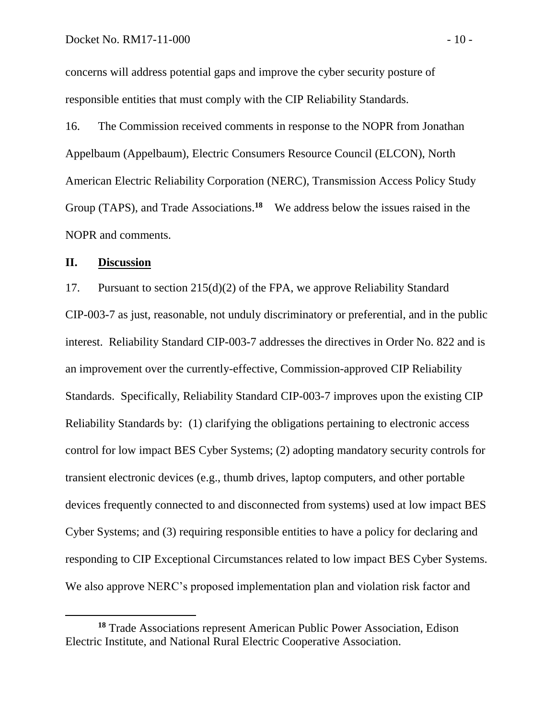concerns will address potential gaps and improve the cyber security posture of responsible entities that must comply with the CIP Reliability Standards.

16. The Commission received comments in response to the NOPR from Jonathan Appelbaum (Appelbaum), Electric Consumers Resource Council (ELCON), North American Electric Reliability Corporation (NERC), Transmission Access Policy Study Group (TAPS), and Trade Associations.<sup>18</sup> We address below the issues raised in the NOPR and comments.

### **II. Discussion**

 $\overline{a}$ 

17. Pursuant to section 215(d)(2) of the FPA, we approve Reliability Standard CIP-003-7 as just, reasonable, not unduly discriminatory or preferential, and in the public interest. Reliability Standard CIP-003-7 addresses the directives in Order No. 822 and is an improvement over the currently-effective, Commission-approved CIP Reliability Standards. Specifically, Reliability Standard CIP-003-7 improves upon the existing CIP Reliability Standards by: (1) clarifying the obligations pertaining to electronic access control for low impact BES Cyber Systems; (2) adopting mandatory security controls for transient electronic devices (e.g., thumb drives, laptop computers, and other portable devices frequently connected to and disconnected from systems) used at low impact BES Cyber Systems; and (3) requiring responsible entities to have a policy for declaring and responding to CIP Exceptional Circumstances related to low impact BES Cyber Systems. We also approve NERC's proposed implementation plan and violation risk factor and

**<sup>18</sup>** Trade Associations represent American Public Power Association, Edison Electric Institute, and National Rural Electric Cooperative Association.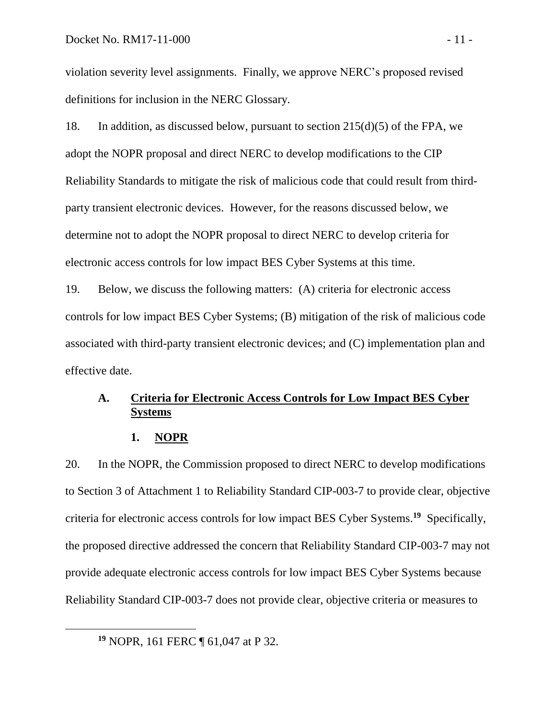violation severity level assignments. Finally, we approve NERC's proposed revised definitions for inclusion in the NERC Glossary.

18. In addition, as discussed below, pursuant to section 215(d)(5) of the FPA, we adopt the NOPR proposal and direct NERC to develop modifications to the CIP Reliability Standards to mitigate the risk of malicious code that could result from thirdparty transient electronic devices. However, for the reasons discussed below, we determine not to adopt the NOPR proposal to direct NERC to develop criteria for electronic access controls for low impact BES Cyber Systems at this time.

19. Below, we discuss the following matters: (A) criteria for electronic access controls for low impact BES Cyber Systems; (B) mitigation of the risk of malicious code associated with third-party transient electronic devices; and (C) implementation plan and effective date.

# **A. Criteria for Electronic Access Controls for Low Impact BES Cyber Systems**

### **1. NOPR**

20. In the NOPR, the Commission proposed to direct NERC to develop modifications to Section 3 of Attachment 1 to Reliability Standard CIP-003-7 to provide clear, objective criteria for electronic access controls for low impact BES Cyber Systems. **<sup>19</sup>** Specifically, the proposed directive addressed the concern that Reliability Standard CIP-003-7 may not provide adequate electronic access controls for low impact BES Cyber Systems because Reliability Standard CIP-003-7 does not provide clear, objective criteria or measures to

**<sup>19</sup>** NOPR, 161 FERC ¶ 61,047 at P 32.

 $\overline{a}$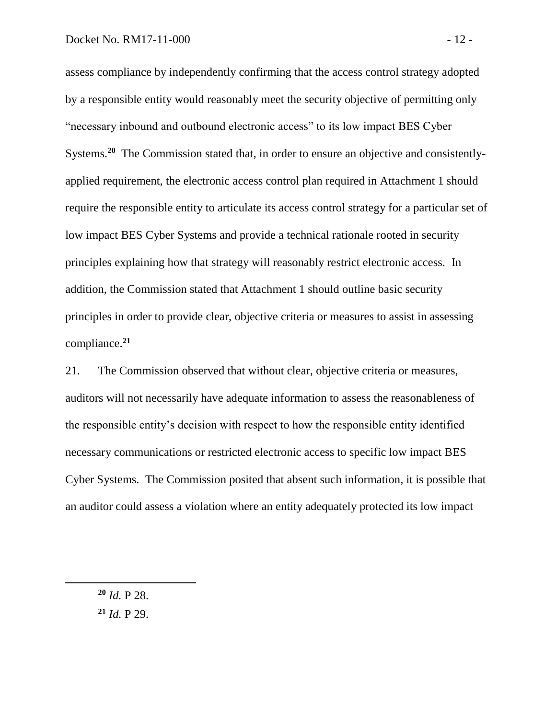assess compliance by independently confirming that the access control strategy adopted by a responsible entity would reasonably meet the security objective of permitting only "necessary inbound and outbound electronic access" to its low impact BES Cyber Systems.<sup>20</sup> The Commission stated that, in order to ensure an objective and consistentlyapplied requirement, the electronic access control plan required in Attachment 1 should require the responsible entity to articulate its access control strategy for a particular set of low impact BES Cyber Systems and provide a technical rationale rooted in security principles explaining how that strategy will reasonably restrict electronic access. In addition, the Commission stated that Attachment 1 should outline basic security principles in order to provide clear, objective criteria or measures to assist in assessing compliance.**<sup>21</sup>**

21. The Commission observed that without clear, objective criteria or measures, auditors will not necessarily have adequate information to assess the reasonableness of the responsible entity's decision with respect to how the responsible entity identified necessary communications or restricted electronic access to specific low impact BES Cyber Systems. The Commission posited that absent such information, it is possible that an auditor could assess a violation where an entity adequately protected its low impact

**<sup>20</sup>** *Id.* P 28.

**<sup>21</sup>** *Id.* P 29.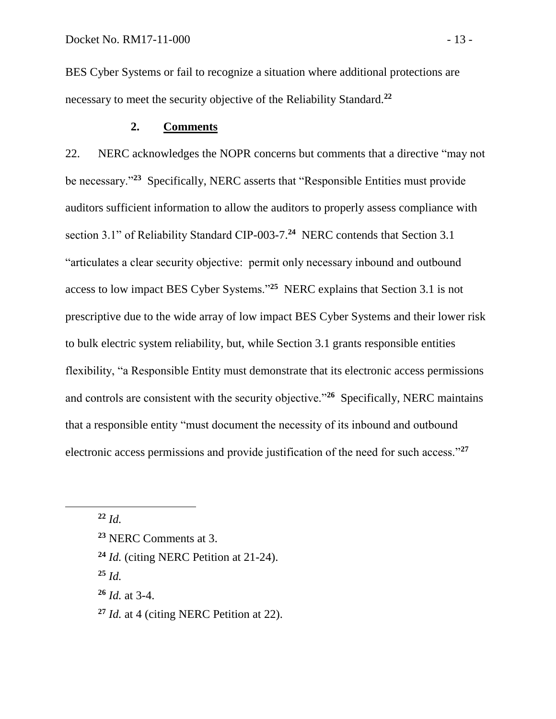BES Cyber Systems or fail to recognize a situation where additional protections are necessary to meet the security objective of the Reliability Standard.**<sup>22</sup>**

# **2. Comments**

22. NERC acknowledges the NOPR concerns but comments that a directive "may not be necessary."**<sup>23</sup>** Specifically, NERC asserts that "Responsible Entities must provide auditors sufficient information to allow the auditors to properly assess compliance with section 3.1" of Reliability Standard CIP-003-7.<sup>24</sup> NERC contends that Section 3.1 "articulates a clear security objective: permit only necessary inbound and outbound access to low impact BES Cyber Systems."**<sup>25</sup>** NERC explains that Section 3.1 is not prescriptive due to the wide array of low impact BES Cyber Systems and their lower risk to bulk electric system reliability, but, while Section 3.1 grants responsible entities flexibility, "a Responsible Entity must demonstrate that its electronic access permissions and controls are consistent with the security objective.<sup>"26</sup> Specifically, NERC maintains that a responsible entity "must document the necessity of its inbound and outbound electronic access permissions and provide justification of the need for such access."**<sup>27</sup>**

**<sup>22</sup>** *Id.*

 $\overline{a}$ 

**<sup>25</sup>** *Id.*

**<sup>26</sup>** *Id.* at 3-4.

**<sup>27</sup>** *Id.* at 4 (citing NERC Petition at 22).

**<sup>23</sup>** NERC Comments at 3.

**<sup>24</sup>** *Id.* (citing NERC Petition at 21-24).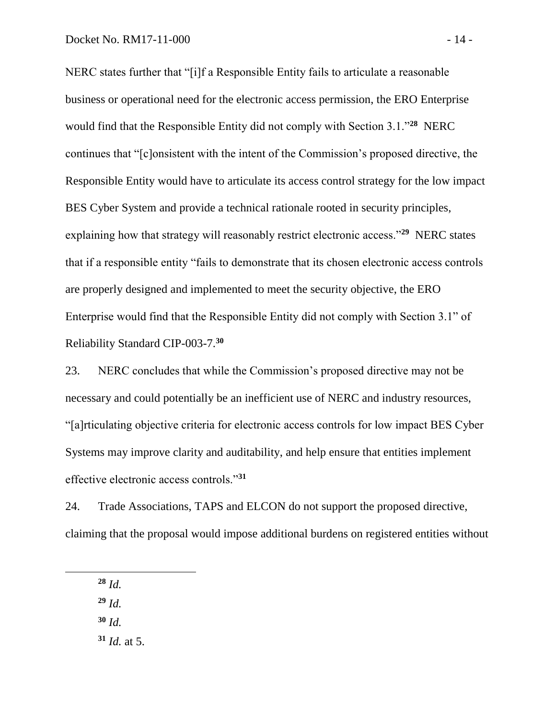NERC states further that "[i]f a Responsible Entity fails to articulate a reasonable business or operational need for the electronic access permission, the ERO Enterprise would find that the Responsible Entity did not comply with Section 3.1."**<sup>28</sup>** NERC continues that "[c]onsistent with the intent of the Commission's proposed directive, the Responsible Entity would have to articulate its access control strategy for the low impact BES Cyber System and provide a technical rationale rooted in security principles, explaining how that strategy will reasonably restrict electronic access."<sup>29</sup> NERC states that if a responsible entity "fails to demonstrate that its chosen electronic access controls are properly designed and implemented to meet the security objective, the ERO Enterprise would find that the Responsible Entity did not comply with Section 3.1" of Reliability Standard CIP-003-7.**<sup>30</sup>**

23. NERC concludes that while the Commission's proposed directive may not be necessary and could potentially be an inefficient use of NERC and industry resources, "[a]rticulating objective criteria for electronic access controls for low impact BES Cyber Systems may improve clarity and auditability, and help ensure that entities implement effective electronic access controls."**<sup>31</sup>**

24. Trade Associations, TAPS and ELCON do not support the proposed directive, claiming that the proposal would impose additional burdens on registered entities without

**<sup>28</sup>** *Id.*

**<sup>29</sup>** *Id.*

**<sup>30</sup>** *Id.*

**<sup>31</sup>** *Id.* at 5.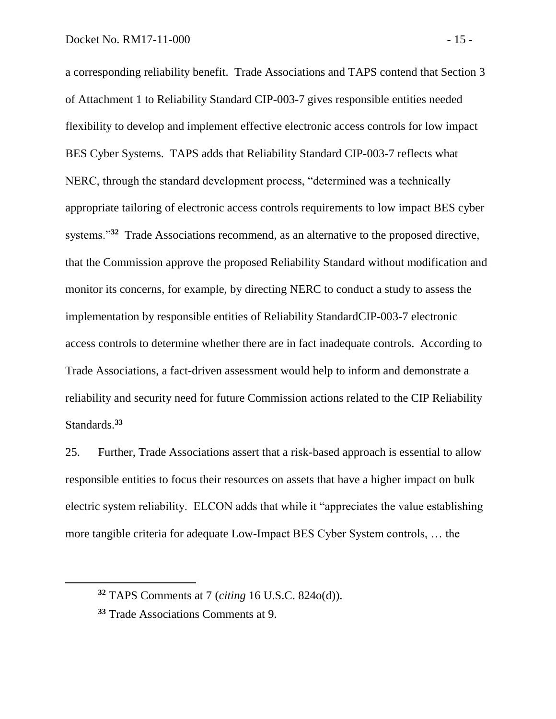a corresponding reliability benefit. Trade Associations and TAPS contend that Section 3 of Attachment 1 to Reliability Standard CIP-003-7 gives responsible entities needed flexibility to develop and implement effective electronic access controls for low impact BES Cyber Systems. TAPS adds that Reliability Standard CIP-003-7 reflects what NERC, through the standard development process, "determined was a technically appropriate tailoring of electronic access controls requirements to low impact BES cyber systems."<sup>32</sup> Trade Associations recommend, as an alternative to the proposed directive, that the Commission approve the proposed Reliability Standard without modification and monitor its concerns, for example, by directing NERC to conduct a study to assess the implementation by responsible entities of Reliability StandardCIP-003-7 electronic access controls to determine whether there are in fact inadequate controls. According to Trade Associations, a fact-driven assessment would help to inform and demonstrate a reliability and security need for future Commission actions related to the CIP Reliability Standards.**<sup>33</sup>**

25. Further, Trade Associations assert that a risk-based approach is essential to allow responsible entities to focus their resources on assets that have a higher impact on bulk electric system reliability. ELCON adds that while it "appreciates the value establishing more tangible criteria for adequate Low-Impact BES Cyber System controls, … the

**<sup>32</sup>** TAPS Comments at 7 (*citing* 16 U.S.C. 824o(d)).

**<sup>33</sup>** Trade Associations Comments at 9.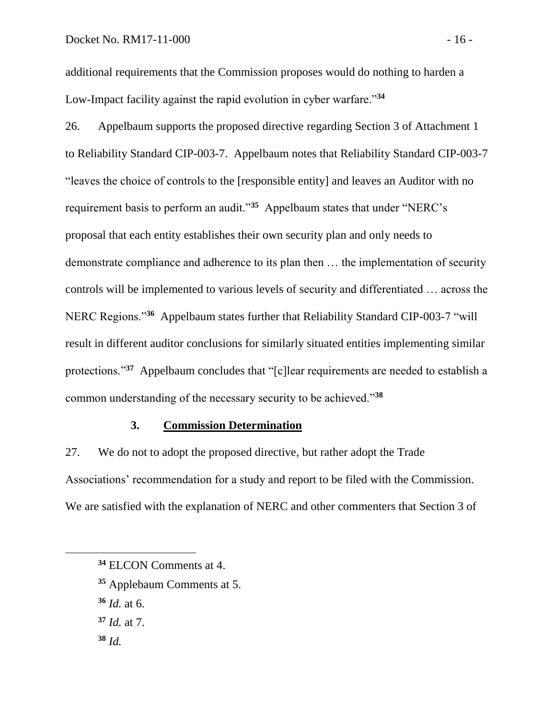additional requirements that the Commission proposes would do nothing to harden a Low-Impact facility against the rapid evolution in cyber warfare."**<sup>34</sup>**

26. Appelbaum supports the proposed directive regarding Section 3 of Attachment 1 to Reliability Standard CIP-003-7. Appelbaum notes that Reliability Standard CIP-003-7 "leaves the choice of controls to the [responsible entity] and leaves an Auditor with no requirement basis to perform an audit."**<sup>35</sup>** Appelbaum states that under "NERC's proposal that each entity establishes their own security plan and only needs to demonstrate compliance and adherence to its plan then … the implementation of security controls will be implemented to various levels of security and differentiated … across the NERC Regions."**<sup>36</sup>** Appelbaum states further that Reliability Standard CIP-003-7 "will result in different auditor conclusions for similarly situated entities implementing similar protections."<sup>37</sup> Appelbaum concludes that "[c]lear requirements are needed to establish a common understanding of the necessary security to be achieved."**<sup>38</sup>**

# **3. Commission Determination**

27. We do not to adopt the proposed directive, but rather adopt the Trade Associations' recommendation for a study and report to be filed with the Commission. We are satisfied with the explanation of NERC and other commenters that Section 3 of

- **<sup>36</sup>** *Id.* at 6.
- **<sup>37</sup>** *Id.* at 7.

**<sup>34</sup>** ELCON Comments at 4.

**<sup>35</sup>** Applebaum Comments at 5.

**<sup>38</sup>** *Id.*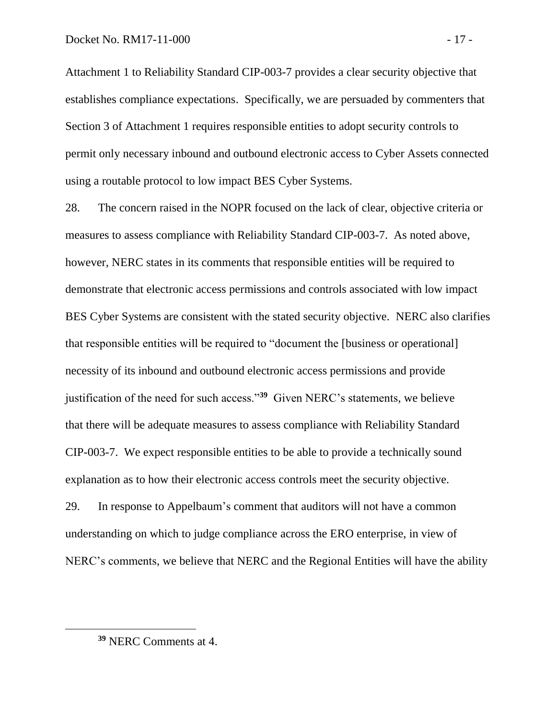Attachment 1 to Reliability Standard CIP-003-7 provides a clear security objective that establishes compliance expectations. Specifically, we are persuaded by commenters that Section 3 of Attachment 1 requires responsible entities to adopt security controls to permit only necessary inbound and outbound electronic access to Cyber Assets connected using a routable protocol to low impact BES Cyber Systems.

28. The concern raised in the NOPR focused on the lack of clear, objective criteria or measures to assess compliance with Reliability Standard CIP-003-7. As noted above, however, NERC states in its comments that responsible entities will be required to demonstrate that electronic access permissions and controls associated with low impact BES Cyber Systems are consistent with the stated security objective. NERC also clarifies that responsible entities will be required to "document the [business or operational] necessity of its inbound and outbound electronic access permissions and provide justification of the need for such access."**<sup>39</sup>** Given NERC's statements, we believe that there will be adequate measures to assess compliance with Reliability Standard CIP-003-7. We expect responsible entities to be able to provide a technically sound explanation as to how their electronic access controls meet the security objective.

29. In response to Appelbaum's comment that auditors will not have a common understanding on which to judge compliance across the ERO enterprise, in view of NERC's comments, we believe that NERC and the Regional Entities will have the ability

 $\overline{a}$ 

**<sup>39</sup>** NERC Comments at 4.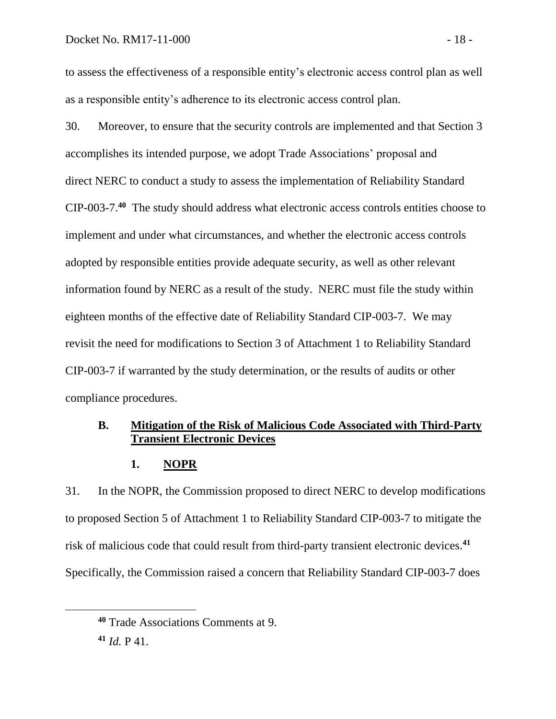### Docket No. RM17-11-000 - 18 -

to assess the effectiveness of a responsible entity's electronic access control plan as well as a responsible entity's adherence to its electronic access control plan.

30. Moreover, to ensure that the security controls are implemented and that Section 3 accomplishes its intended purpose, we adopt Trade Associations' proposal and direct NERC to conduct a study to assess the implementation of Reliability Standard CIP-003-7. **40** The study should address what electronic access controls entities choose to implement and under what circumstances, and whether the electronic access controls adopted by responsible entities provide adequate security, as well as other relevant information found by NERC as a result of the study. NERC must file the study within eighteen months of the effective date of Reliability Standard CIP-003-7. We may revisit the need for modifications to Section 3 of Attachment 1 to Reliability Standard CIP-003-7 if warranted by the study determination, or the results of audits or other compliance procedures.

# **B. Mitigation of the Risk of Malicious Code Associated with Third-Party Transient Electronic Devices**

### **1. NOPR**

31. In the NOPR, the Commission proposed to direct NERC to develop modifications to proposed Section 5 of Attachment 1 to Reliability Standard CIP-003-7 to mitigate the risk of malicious code that could result from third-party transient electronic devices. **41** Specifically, the Commission raised a concern that Reliability Standard CIP-003-7 does

 $\overline{a}$ 

**<sup>40</sup>** Trade Associations Comments at 9.

**<sup>41</sup>** *Id.* P 41.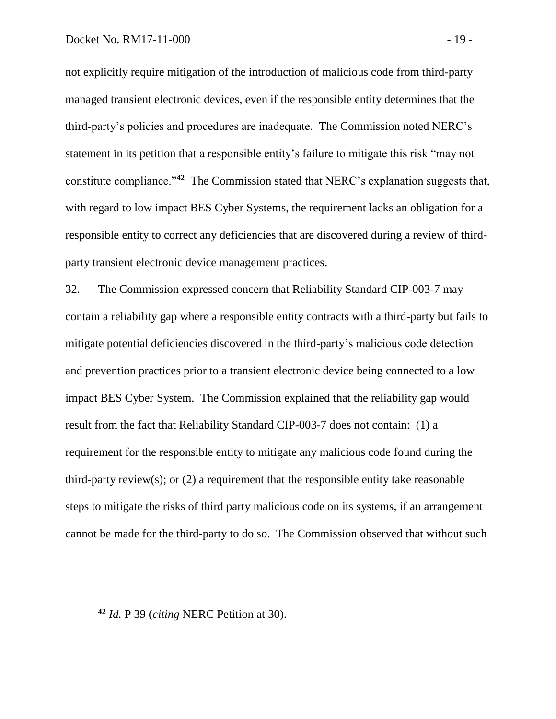not explicitly require mitigation of the introduction of malicious code from third-party managed transient electronic devices, even if the responsible entity determines that the third-party's policies and procedures are inadequate. The Commission noted NERC's statement in its petition that a responsible entity's failure to mitigate this risk "may not constitute compliance."**<sup>42</sup>** The Commission stated that NERC's explanation suggests that, with regard to low impact BES Cyber Systems, the requirement lacks an obligation for a responsible entity to correct any deficiencies that are discovered during a review of thirdparty transient electronic device management practices.

32. The Commission expressed concern that Reliability Standard CIP-003-7 may contain a reliability gap where a responsible entity contracts with a third-party but fails to mitigate potential deficiencies discovered in the third-party's malicious code detection and prevention practices prior to a transient electronic device being connected to a low impact BES Cyber System. The Commission explained that the reliability gap would result from the fact that Reliability Standard CIP-003-7 does not contain: (1) a requirement for the responsible entity to mitigate any malicious code found during the third-party review(s); or  $(2)$  a requirement that the responsible entity take reasonable steps to mitigate the risks of third party malicious code on its systems, if an arrangement cannot be made for the third-party to do so. The Commission observed that without such

**<sup>42</sup>** *Id.* P 39 (*citing* NERC Petition at 30).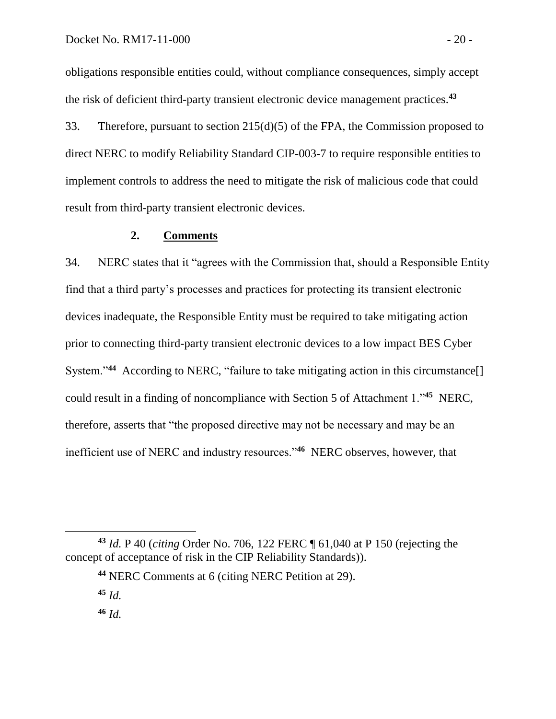obligations responsible entities could, without compliance consequences, simply accept the risk of deficient third-party transient electronic device management practices.**<sup>43</sup>**

33. Therefore, pursuant to section 215(d)(5) of the FPA, the Commission proposed to direct NERC to modify Reliability Standard CIP-003-7 to require responsible entities to implement controls to address the need to mitigate the risk of malicious code that could result from third-party transient electronic devices.

## **2. Comments**

34. NERC states that it "agrees with the Commission that, should a Responsible Entity find that a third party's processes and practices for protecting its transient electronic devices inadequate, the Responsible Entity must be required to take mitigating action prior to connecting third-party transient electronic devices to a low impact BES Cyber System."<sup>44</sup> According to NERC, "failure to take mitigating action in this circumstance[] could result in a finding of noncompliance with Section 5 of Attachment 1."**<sup>45</sup>** NERC, therefore, asserts that "the proposed directive may not be necessary and may be an inefficient use of NERC and industry resources."**<sup>46</sup>** NERC observes, however, that

**<sup>43</sup>** *Id.* P 40 (*citing* Order No. 706, 122 FERC ¶ 61,040 at P 150 (rejecting the concept of acceptance of risk in the CIP Reliability Standards)).

**<sup>44</sup>** NERC Comments at 6 (citing NERC Petition at 29).

**<sup>45</sup>** *Id.*

**<sup>46</sup>** *Id.*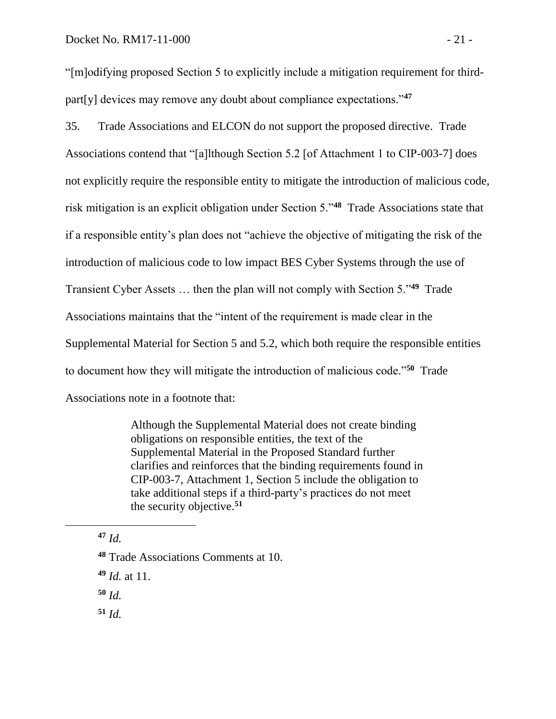"[m]odifying proposed Section 5 to explicitly include a mitigation requirement for thirdpart[y] devices may remove any doubt about compliance expectations."**<sup>47</sup>**

35. Trade Associations and ELCON do not support the proposed directive. Trade Associations contend that "[a]lthough Section 5.2 [of Attachment 1 to CIP-003-7] does not explicitly require the responsible entity to mitigate the introduction of malicious code, risk mitigation is an explicit obligation under Section 5."**<sup>48</sup>** Trade Associations state that if a responsible entity's plan does not "achieve the objective of mitigating the risk of the introduction of malicious code to low impact BES Cyber Systems through the use of Transient Cyber Assets … then the plan will not comply with Section 5."**<sup>49</sup>** Trade Associations maintains that the "intent of the requirement is made clear in the Supplemental Material for Section 5 and 5.2, which both require the responsible entities to document how they will mitigate the introduction of malicious code."**<sup>50</sup>** Trade Associations note in a footnote that:

> Although the Supplemental Material does not create binding obligations on responsible entities, the text of the Supplemental Material in the Proposed Standard further clarifies and reinforces that the binding requirements found in CIP-003-7, Attachment 1, Section 5 include the obligation to take additional steps if a third-party's practices do not meet the security objective.**<sup>51</sup>**

**<sup>47</sup>** *Id.*

**<sup>50</sup>** *Id.*

**<sup>51</sup>** *Id.*

**<sup>48</sup>** Trade Associations Comments at 10.

**<sup>49</sup>** *Id.* at 11.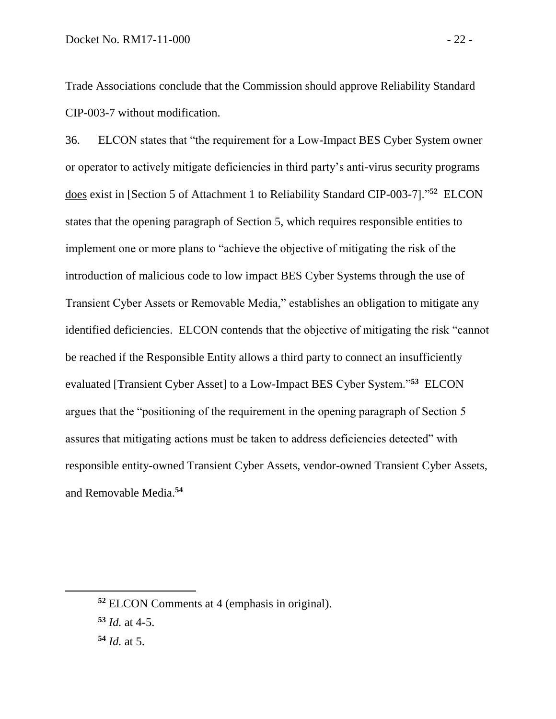Trade Associations conclude that the Commission should approve Reliability Standard CIP-003-7 without modification.

36. ELCON states that "the requirement for a Low-Impact BES Cyber System owner or operator to actively mitigate deficiencies in third party's anti-virus security programs does exist in [Section 5 of Attachment 1 to Reliability Standard CIP-003-7]."**<sup>52</sup>** ELCON states that the opening paragraph of Section 5, which requires responsible entities to implement one or more plans to "achieve the objective of mitigating the risk of the introduction of malicious code to low impact BES Cyber Systems through the use of Transient Cyber Assets or Removable Media," establishes an obligation to mitigate any identified deficiencies. ELCON contends that the objective of mitigating the risk "cannot be reached if the Responsible Entity allows a third party to connect an insufficiently evaluated [Transient Cyber Asset] to a Low-Impact BES Cyber System."**<sup>53</sup>** ELCON argues that the "positioning of the requirement in the opening paragraph of Section 5 assures that mitigating actions must be taken to address deficiencies detected" with responsible entity-owned Transient Cyber Assets, vendor-owned Transient Cyber Assets, and Removable Media.**<sup>54</sup>**

**<sup>52</sup>** ELCON Comments at 4 (emphasis in original).

**<sup>53</sup>** *Id.* at 4-5.

**<sup>54</sup>** *Id.* at 5.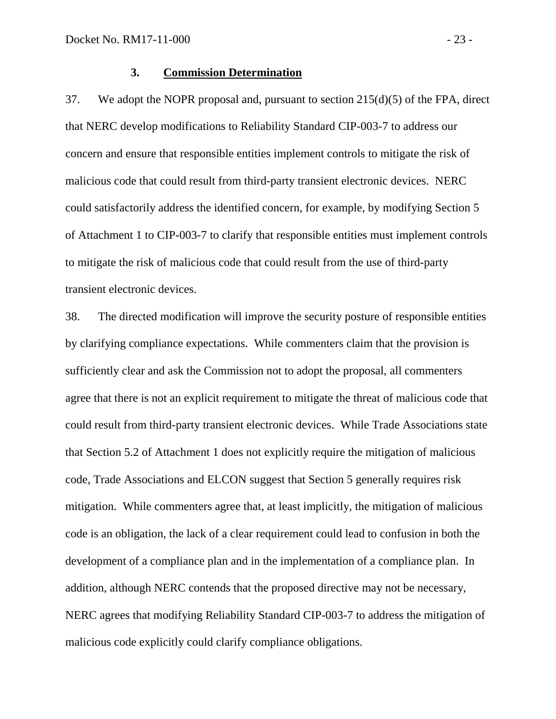#### **3. Commission Determination**

37. We adopt the NOPR proposal and, pursuant to section 215(d)(5) of the FPA, direct that NERC develop modifications to Reliability Standard CIP-003-7 to address our concern and ensure that responsible entities implement controls to mitigate the risk of malicious code that could result from third-party transient electronic devices. NERC could satisfactorily address the identified concern, for example, by modifying Section 5 of Attachment 1 to CIP-003-7 to clarify that responsible entities must implement controls to mitigate the risk of malicious code that could result from the use of third-party transient electronic devices.

38. The directed modification will improve the security posture of responsible entities by clarifying compliance expectations. While commenters claim that the provision is sufficiently clear and ask the Commission not to adopt the proposal, all commenters agree that there is not an explicit requirement to mitigate the threat of malicious code that could result from third-party transient electronic devices. While Trade Associations state that Section 5.2 of Attachment 1 does not explicitly require the mitigation of malicious code, Trade Associations and ELCON suggest that Section 5 generally requires risk mitigation. While commenters agree that, at least implicitly, the mitigation of malicious code is an obligation, the lack of a clear requirement could lead to confusion in both the development of a compliance plan and in the implementation of a compliance plan. In addition, although NERC contends that the proposed directive may not be necessary, NERC agrees that modifying Reliability Standard CIP-003-7 to address the mitigation of malicious code explicitly could clarify compliance obligations.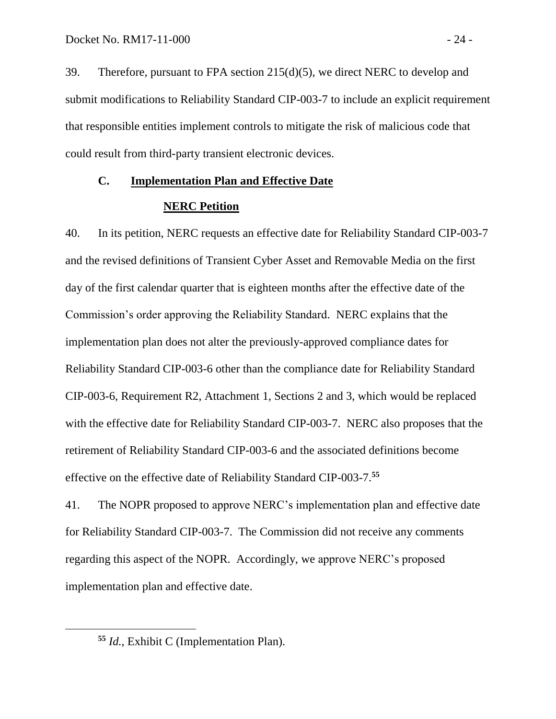39. Therefore, pursuant to FPA section 215(d)(5), we direct NERC to develop and submit modifications to Reliability Standard CIP-003-7 to include an explicit requirement that responsible entities implement controls to mitigate the risk of malicious code that could result from third-party transient electronic devices.

# **C. Implementation Plan and Effective Date**

## **NERC Petition**

40. In its petition, NERC requests an effective date for Reliability Standard CIP-003-7 and the revised definitions of Transient Cyber Asset and Removable Media on the first day of the first calendar quarter that is eighteen months after the effective date of the Commission's order approving the Reliability Standard. NERC explains that the implementation plan does not alter the previously-approved compliance dates for Reliability Standard CIP-003-6 other than the compliance date for Reliability Standard CIP-003-6, Requirement R2, Attachment 1, Sections 2 and 3, which would be replaced with the effective date for Reliability Standard CIP-003-7. NERC also proposes that the retirement of Reliability Standard CIP-003-6 and the associated definitions become effective on the effective date of Reliability Standard CIP-003-7. **55**

41. The NOPR proposed to approve NERC's implementation plan and effective date for Reliability Standard CIP-003-7. The Commission did not receive any comments regarding this aspect of the NOPR. Accordingly, we approve NERC's proposed implementation plan and effective date.

 $\overline{a}$ 

**<sup>55</sup>** *Id.*, Exhibit C (Implementation Plan).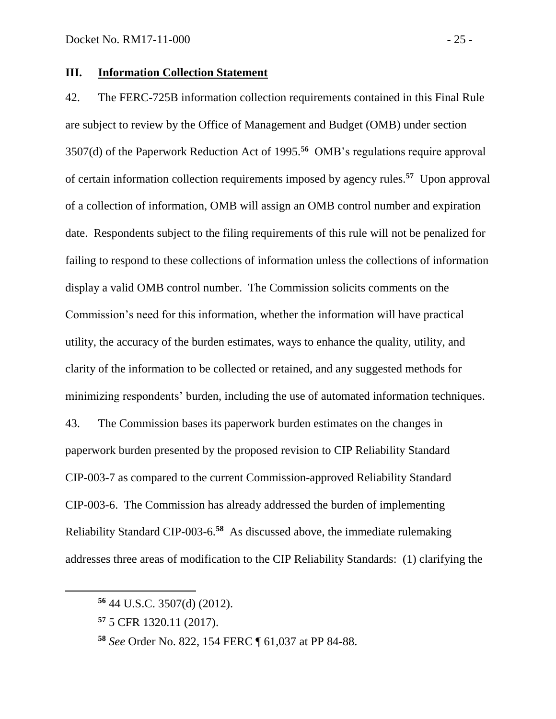## **III. Information Collection Statement**

42. The FERC-725B information collection requirements contained in this Final Rule are subject to review by the Office of Management and Budget (OMB) under section 3507(d) of the Paperwork Reduction Act of 1995.**<sup>56</sup>** OMB's regulations require approval of certain information collection requirements imposed by agency rules.**<sup>57</sup>** Upon approval of a collection of information, OMB will assign an OMB control number and expiration date. Respondents subject to the filing requirements of this rule will not be penalized for failing to respond to these collections of information unless the collections of information display a valid OMB control number. The Commission solicits comments on the Commission's need for this information, whether the information will have practical utility, the accuracy of the burden estimates, ways to enhance the quality, utility, and clarity of the information to be collected or retained, and any suggested methods for minimizing respondents' burden, including the use of automated information techniques. 43. The Commission bases its paperwork burden estimates on the changes in paperwork burden presented by the proposed revision to CIP Reliability Standard CIP-003-7 as compared to the current Commission-approved Reliability Standard CIP-003-6. The Commission has already addressed the burden of implementing Reliability Standard CIP-003-6. **58** As discussed above, the immediate rulemaking addresses three areas of modification to the CIP Reliability Standards: (1) clarifying the

**<sup>56</sup>** 44 U.S.C. 3507(d) (2012).

**<sup>57</sup>** 5 CFR 1320.11 (2017).

**<sup>58</sup>** *See* Order No. 822, 154 FERC ¶ 61,037 at PP 84-88.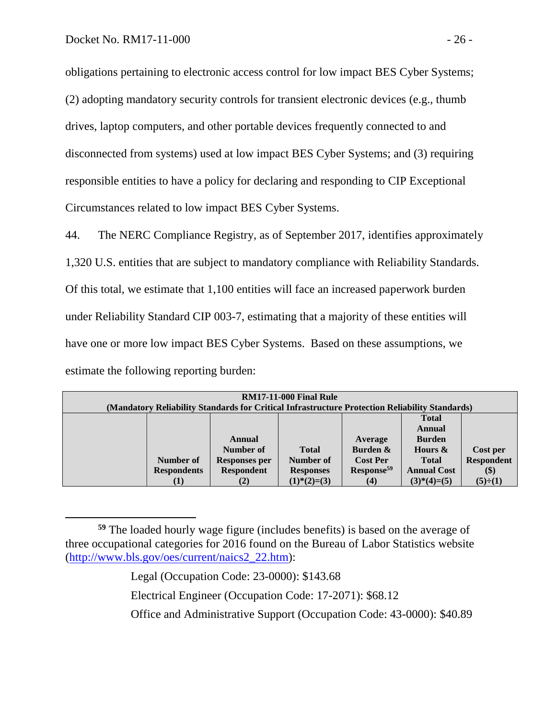$\overline{a}$ 

obligations pertaining to electronic access control for low impact BES Cyber Systems; (2) adopting mandatory security controls for transient electronic devices (e.g., thumb drives, laptop computers, and other portable devices frequently connected to and disconnected from systems) used at low impact BES Cyber Systems; and (3) requiring responsible entities to have a policy for declaring and responding to CIP Exceptional Circumstances related to low impact BES Cyber Systems.

44. The NERC Compliance Registry, as of September 2017, identifies approximately 1,320 U.S. entities that are subject to mandatory compliance with Reliability Standards. Of this total, we estimate that 1,100 entities will face an increased paperwork burden under Reliability Standard CIP 003-7, estimating that a majority of these entities will have one or more low impact BES Cyber Systems. Based on these assumptions, we estimate the following reporting burden:

| <b>RM17-11-000 Final Rule</b>                                                                  |                    |                      |                                  |                        |                    |                              |  |  |  |  |  |
|------------------------------------------------------------------------------------------------|--------------------|----------------------|----------------------------------|------------------------|--------------------|------------------------------|--|--|--|--|--|
| (Mandatory Reliability Standards for Critical Infrastructure Protection Reliability Standards) |                    |                      |                                  |                        |                    |                              |  |  |  |  |  |
|                                                                                                |                    |                      |                                  |                        | <b>Total</b>       |                              |  |  |  |  |  |
|                                                                                                |                    |                      |                                  |                        | Annual             |                              |  |  |  |  |  |
|                                                                                                |                    | Annual               |                                  | Average                | <b>Burden</b>      |                              |  |  |  |  |  |
|                                                                                                |                    | Number of            | <b>Total</b>                     | Burden &               | Hours &            | Cost per                     |  |  |  |  |  |
|                                                                                                | Number of          | <b>Responses per</b> | Number of                        | <b>Cost Per</b>        | <b>Total</b>       | <b>Respondent</b>            |  |  |  |  |  |
|                                                                                                | <b>Respondents</b> | <b>Respondent</b>    | <b>Responses</b>                 | Response <sup>59</sup> | <b>Annual Cost</b> | $\left( \mathcal{S} \right)$ |  |  |  |  |  |
|                                                                                                | (1)                | (2)                  | $(1)$ <sup>*</sup> $(2)$ = $(3)$ | (4)                    | $(3)*(4)=(5)$      | $(5)\div(1)$                 |  |  |  |  |  |

**<sup>59</sup>** The loaded hourly wage figure (includes benefits) is based on the average of three occupational categories for 2016 found on the Bureau of Labor Statistics website [\(http://www.bls.gov/oes/current/naics2\\_22.htm\)](http://www.bls.gov/oes/current/naics2_22.htm):

Legal (Occupation Code: 23-0000): \$143.68

Electrical Engineer (Occupation Code: 17-2071): \$68.12

Office and Administrative Support (Occupation Code: 43-0000): \$40.89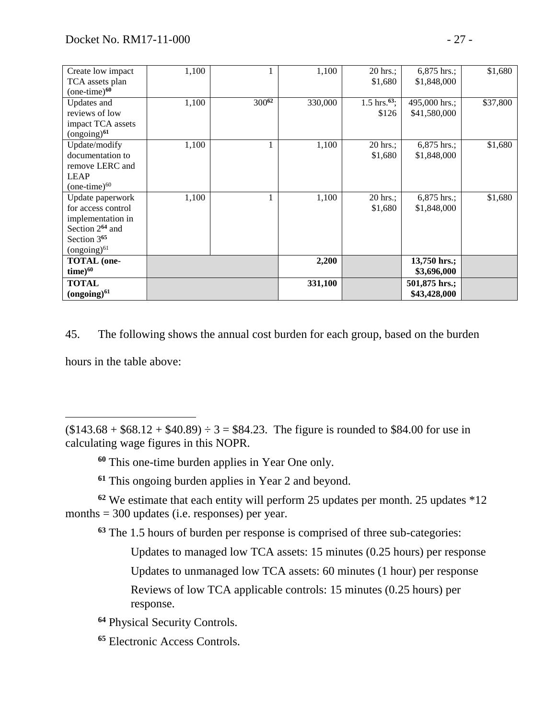<span id="page-28-1"></span><span id="page-28-0"></span>

| Create low impact           | 1,100 |            | 1,100   | $20 \text{ hrs.}$         | $6,875$ hrs.:  | \$1,680  |
|-----------------------------|-------|------------|---------|---------------------------|----------------|----------|
| TCA assets plan             |       |            |         | \$1,680                   | \$1,848,000    |          |
| $(one-time)$ <sup>60</sup>  |       |            |         |                           |                |          |
| Updates and                 | 1,100 | $300^{62}$ | 330,000 | $1.5 \text{ hrs.}^{63}$ ; | 495,000 hrs.;  | \$37,800 |
| reviews of low              |       |            |         | \$126                     | \$41,580,000   |          |
| impact TCA assets           |       |            |         |                           |                |          |
| $(ongoing)^{61}$            |       |            |         |                           |                |          |
| Update/modify               | 1,100 |            | 1,100   | 20 hrs.;                  | 6,875 hrs.;    | \$1,680  |
| documentation to            |       |            |         | \$1,680                   | \$1,848,000    |          |
| remove LERC and             |       |            |         |                           |                |          |
| <b>LEAP</b>                 |       |            |         |                           |                |          |
| $(one-time)^{60}$           |       |            |         |                           |                |          |
| Update paperwork            | 1,100 | 1          | 1,100   | 20 hrs.;                  | 6,875 hrs.;    | \$1,680  |
| for access control          |       |            |         | \$1,680                   | \$1,848,000    |          |
| implementation in           |       |            |         |                           |                |          |
| Section 2 <sup>64</sup> and |       |            |         |                           |                |          |
| Section 3 <sup>65</sup>     |       |            |         |                           |                |          |
| $(ongoing)^{61}$            |       |            |         |                           |                |          |
| <b>TOTAL</b> (one-          |       |            | 2,200   |                           | $13,750$ hrs.; |          |
| $time)^{60}$                |       |            |         |                           | \$3,696,000    |          |
| <b>TOTAL</b>                |       |            | 331,100 |                           | 501,875 hrs.;  |          |
| $(ongoing)^{61}$            |       |            |         |                           | \$43,428,000   |          |

45. The following shows the annual cost burden for each group, based on the burden hours in the table above:

 $($143.68 + $68.12 + $40.89) \div 3 = $84.23$ . The figure is rounded to \$84.00 for use in calculating wage figures in this NOPR.

**<sup>60</sup>** This one-time burden applies in Year One only.

**<sup>61</sup>** This ongoing burden applies in Year 2 and beyond.

**<sup>62</sup>** We estimate that each entity will perform 25 updates per month. 25 updates \*12 months = 300 updates (i.e. responses) per year.

**<sup>63</sup>** The 1.5 hours of burden per response is comprised of three sub-categories:

Updates to managed low TCA assets: 15 minutes (0.25 hours) per response

Updates to unmanaged low TCA assets: 60 minutes (1 hour) per response

Reviews of low TCA applicable controls: 15 minutes (0.25 hours) per response.

**<sup>64</sup>** Physical Security Controls.

**<sup>65</sup>** Electronic Access Controls.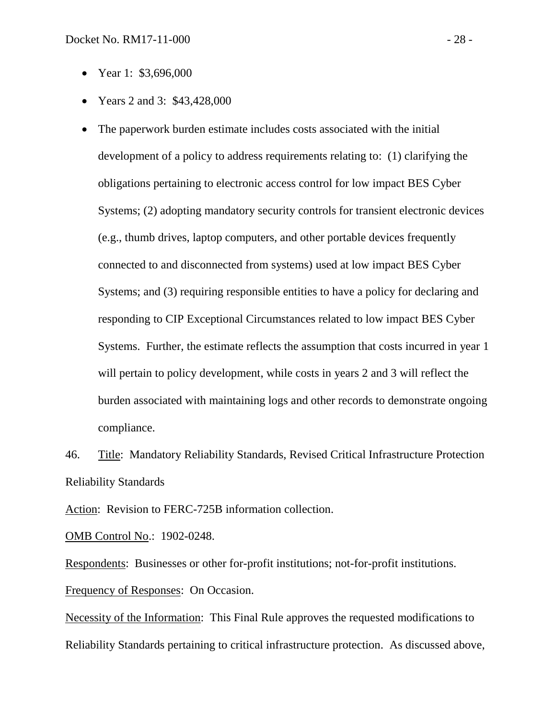- Year 1: \$3,696,000
- Years 2 and 3: \$43,428,000
- The paperwork burden estimate includes costs associated with the initial development of a policy to address requirements relating to: (1) clarifying the obligations pertaining to electronic access control for low impact BES Cyber Systems; (2) adopting mandatory security controls for transient electronic devices (e.g., thumb drives, laptop computers, and other portable devices frequently connected to and disconnected from systems) used at low impact BES Cyber Systems; and (3) requiring responsible entities to have a policy for declaring and responding to CIP Exceptional Circumstances related to low impact BES Cyber Systems. Further, the estimate reflects the assumption that costs incurred in year 1 will pertain to policy development, while costs in years 2 and 3 will reflect the burden associated with maintaining logs and other records to demonstrate ongoing compliance.

46. Title: Mandatory Reliability Standards, Revised Critical Infrastructure Protection Reliability Standards

Action: Revision to FERC-725B information collection.

OMB Control No.: 1902-0248.

Respondents: Businesses or other for-profit institutions; not-for-profit institutions.

Frequency of Responses: On Occasion.

Necessity of the Information: This Final Rule approves the requested modifications to Reliability Standards pertaining to critical infrastructure protection. As discussed above,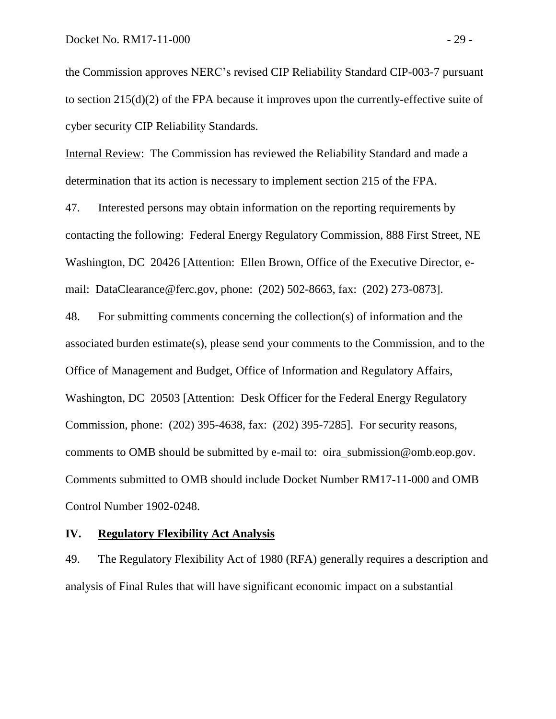the Commission approves NERC's revised CIP Reliability Standard CIP-003-7 pursuant to section 215(d)(2) of the FPA because it improves upon the currently-effective suite of cyber security CIP Reliability Standards.

Internal Review: The Commission has reviewed the Reliability Standard and made a determination that its action is necessary to implement section 215 of the FPA.

47. Interested persons may obtain information on the reporting requirements by contacting the following: Federal Energy Regulatory Commission, 888 First Street, NE Washington, DC 20426 [Attention: Ellen Brown, Office of the Executive Director, email: DataClearance@ferc.gov, phone: (202) 502-8663, fax: (202) 273-0873].

48. For submitting comments concerning the collection(s) of information and the associated burden estimate(s), please send your comments to the Commission, and to the Office of Management and Budget, Office of Information and Regulatory Affairs, Washington, DC 20503 [Attention: Desk Officer for the Federal Energy Regulatory Commission, phone: (202) 395-4638, fax: (202) 395-7285]. For security reasons, comments to OMB should be submitted by e-mail to: oira\_submission@omb.eop.gov. Comments submitted to OMB should include Docket Number RM17-11-000 and OMB Control Number 1902-0248.

### **IV. Regulatory Flexibility Act Analysis**

49. The Regulatory Flexibility Act of 1980 (RFA) generally requires a description and analysis of Final Rules that will have significant economic impact on a substantial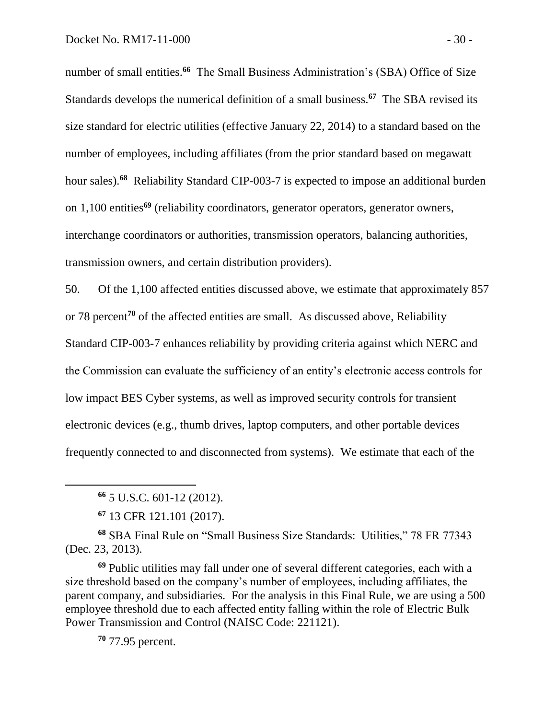number of small entities.**<sup>66</sup>** The Small Business Administration's (SBA) Office of Size Standards develops the numerical definition of a small business.**<sup>67</sup>** The SBA revised its size standard for electric utilities (effective January 22, 2014) to a standard based on the number of employees, including affiliates (from the prior standard based on megawatt hour sales).**<sup>68</sup>** Reliability Standard CIP-003-7 is expected to impose an additional burden on 1,100 entities**<sup>69</sup>** (reliability coordinators, generator operators, generator owners, interchange coordinators or authorities, transmission operators, balancing authorities, transmission owners, and certain distribution providers).

50. Of the 1,100 affected entities discussed above, we estimate that approximately 857 or 78 percent**<sup>70</sup>** of the affected entities are small. As discussed above, Reliability Standard CIP-003-7 enhances reliability by providing criteria against which NERC and the Commission can evaluate the sufficiency of an entity's electronic access controls for low impact BES Cyber systems, as well as improved security controls for transient electronic devices (e.g., thumb drives, laptop computers, and other portable devices frequently connected to and disconnected from systems). We estimate that each of the

 $\overline{a}$ 

**<sup>68</sup>** SBA Final Rule on "Small Business Size Standards: Utilities," 78 FR 77343 (Dec. 23, 2013).

**<sup>69</sup>** Public utilities may fall under one of several different categories, each with a size threshold based on the company's number of employees, including affiliates, the parent company, and subsidiaries. For the analysis in this Final Rule, we are using a 500 employee threshold due to each affected entity falling within the role of Electric Bulk Power Transmission and Control (NAISC Code: 221121).

**<sup>70</sup>** 77.95 percent.

**<sup>66</sup>** 5 U.S.C. 601-12 (2012).

**<sup>67</sup>** 13 CFR 121.101 (2017).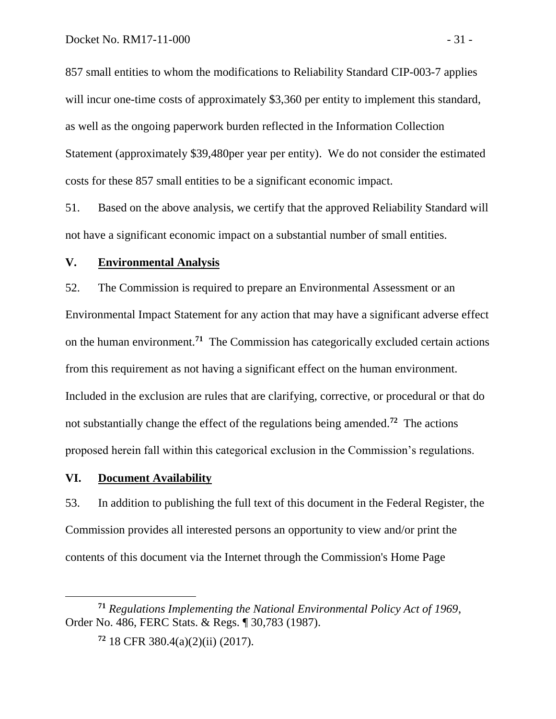857 small entities to whom the modifications to Reliability Standard CIP-003-7 applies will incur one-time costs of approximately \$3,360 per entity to implement this standard, as well as the ongoing paperwork burden reflected in the Information Collection Statement (approximately \$39,480per year per entity). We do not consider the estimated costs for these 857 small entities to be a significant economic impact.

51. Based on the above analysis, we certify that the approved Reliability Standard will not have a significant economic impact on a substantial number of small entities.

### **V. Environmental Analysis**

52. The Commission is required to prepare an Environmental Assessment or an Environmental Impact Statement for any action that may have a significant adverse effect on the human environment.**<sup>71</sup>** The Commission has categorically excluded certain actions from this requirement as not having a significant effect on the human environment. Included in the exclusion are rules that are clarifying, corrective, or procedural or that do not substantially change the effect of the regulations being amended. **<sup>72</sup>** The actions proposed herein fall within this categorical exclusion in the Commission's regulations.

### **VI. Document Availability**

53. In addition to publishing the full text of this document in the Federal Register, the Commission provides all interested persons an opportunity to view and/or print the contents of this document via the Internet through the Commission's Home Page

**<sup>71</sup>** *Regulations Implementing the National Environmental Policy Act of 1969*, Order No. 486, FERC Stats. & Regs. ¶ 30,783 (1987).

**<sup>72</sup>** 18 CFR 380.4(a)(2)(ii) (2017).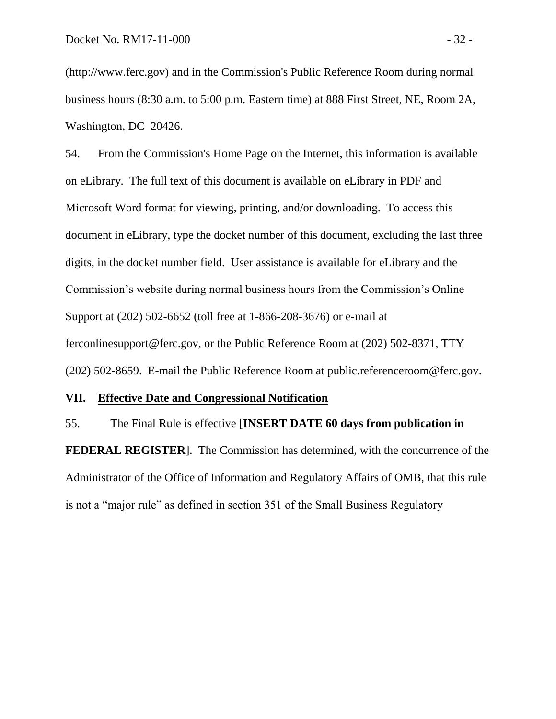[\(http://www.ferc.gov\)](http://www.ferc.gov/) and in the Commission's Public Reference Room during normal business hours (8:30 a.m. to 5:00 p.m. Eastern time) at 888 First Street, NE, Room 2A, Washington, DC 20426.

54. From the Commission's Home Page on the Internet, this information is available on eLibrary. The full text of this document is available on eLibrary in PDF and Microsoft Word format for viewing, printing, and/or downloading. To access this document in eLibrary, type the docket number of this document, excluding the last three digits, in the docket number field. User assistance is available for eLibrary and the Commission's website during normal business hours from the Commission's Online Support at (202) 502-6652 (toll free at 1-866-208-3676) or e-mail at [ferconlinesupport@ferc.gov,](mailto:ferconlinesupport@ferc.gov) or the Public Reference Room at (202) 502-8371, TTY (202) 502-8659. E-mail the Public Reference Room at [public.referenceroom@ferc.gov.](mailto:public.referenceroom@ferc.gov)

## **VII. Effective Date and Congressional Notification**

55. The Final Rule is effective [**INSERT DATE 60 days from publication in FEDERAL REGISTER**]. The Commission has determined, with the concurrence of the Administrator of the Office of Information and Regulatory Affairs of OMB, that this rule is not a "major rule" as defined in section 351 of the Small Business Regulatory